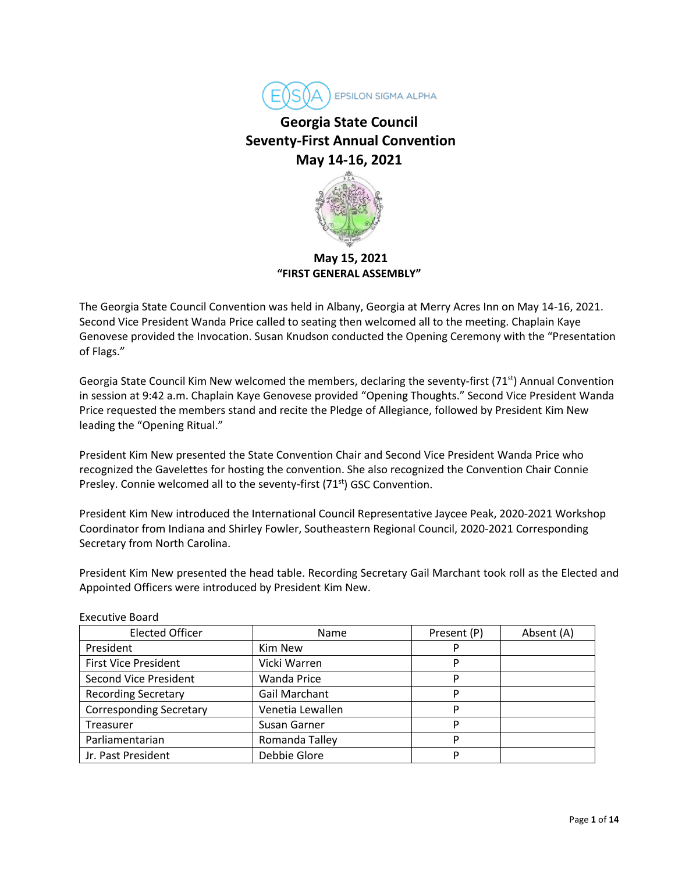

# **Georgia State Council Seventy-First Annual Convention May 14-16, 2021**



**May 15, 2021 "FIRST GENERAL ASSEMBLY"**

The Georgia State Council Convention was held in Albany, Georgia at Merry Acres Inn on May 14-16, 2021. Second Vice President Wanda Price called to seating then welcomed all to the meeting. Chaplain Kaye Genovese provided the Invocation. Susan Knudson conducted the Opening Ceremony with the "Presentation of Flags."

Georgia State Council Kim New welcomed the members, declaring the seventy-first (71<sup>st</sup>) Annual Convention in session at 9:42 a.m. Chaplain Kaye Genovese provided "Opening Thoughts." Second Vice President Wanda Price requested the members stand and recite the Pledge of Allegiance, followed by President Kim New leading the "Opening Ritual."

President Kim New presented the State Convention Chair and Second Vice President Wanda Price who recognized the Gavelettes for hosting the convention. She also recognized the Convention Chair Connie Presley. Connie welcomed all to the seventy-first (71<sup>st</sup>) GSC Convention.

President Kim New introduced the International Council Representative Jaycee Peak, 2020-2021 Workshop Coordinator from Indiana and Shirley Fowler, Southeastern Regional Council, 2020-2021 Corresponding Secretary from North Carolina.

President Kim New presented the head table. Recording Secretary Gail Marchant took roll as the Elected and Appointed Officers were introduced by President Kim New.

| <b>Elected Officer</b>         | Name             | Present (P) | Absent (A) |
|--------------------------------|------------------|-------------|------------|
| President                      | Kim New          | P           |            |
| <b>First Vice President</b>    | Vicki Warren     | P           |            |
| <b>Second Vice President</b>   | Wanda Price      | P           |            |
| <b>Recording Secretary</b>     | Gail Marchant    | p           |            |
| <b>Corresponding Secretary</b> | Venetia Lewallen | P           |            |
| Treasurer                      | Susan Garner     | P           |            |
| Parliamentarian                | Romanda Talley   | P           |            |
| Jr. Past President             | Debbie Glore     | P           |            |

Executive Board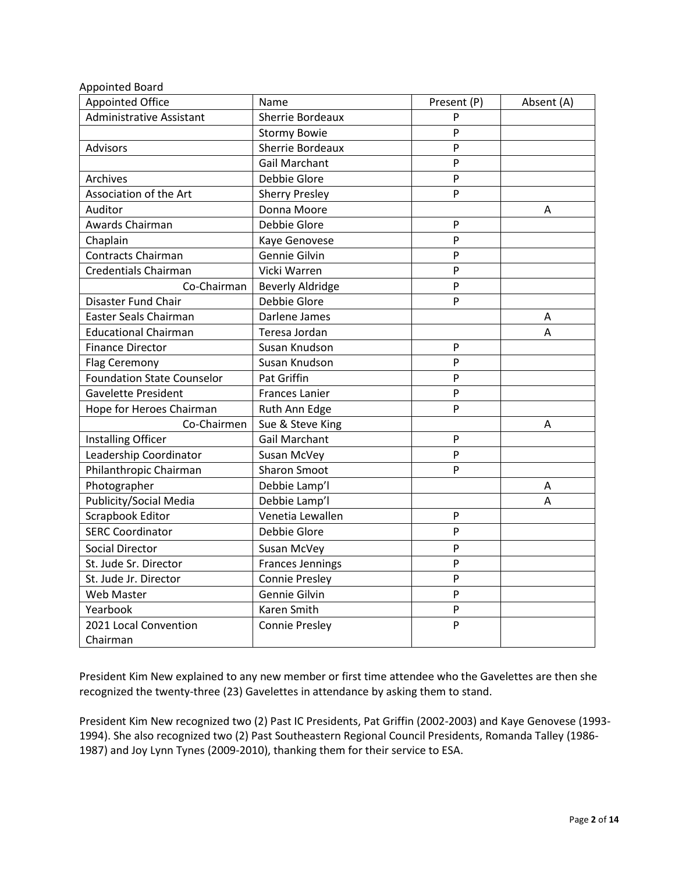| <b>Appointed Board</b>            |                         |              |            |
|-----------------------------------|-------------------------|--------------|------------|
| <b>Appointed Office</b>           | Name                    | Present (P)  | Absent (A) |
| <b>Administrative Assistant</b>   | Sherrie Bordeaux        | P            |            |
|                                   | <b>Stormy Bowie</b>     | P            |            |
| <b>Advisors</b>                   | Sherrie Bordeaux        | P            |            |
|                                   | <b>Gail Marchant</b>    | P            |            |
| Archives                          | Debbie Glore            | $\mathsf{P}$ |            |
| Association of the Art            | <b>Sherry Presley</b>   | P            |            |
| Auditor                           | Donna Moore             |              | Α          |
| Awards Chairman                   | Debbie Glore            | P            |            |
| Chaplain                          | Kaye Genovese           | $\mathsf{P}$ |            |
| <b>Contracts Chairman</b>         | Gennie Gilvin           | P            |            |
| <b>Credentials Chairman</b>       | Vicki Warren            | P            |            |
| Co-Chairman                       | <b>Beverly Aldridge</b> | $\mathsf{P}$ |            |
| Disaster Fund Chair               | Debbie Glore            | P            |            |
| Easter Seals Chairman             | Darlene James           |              | Α          |
| <b>Educational Chairman</b>       | Teresa Jordan           |              | A          |
| <b>Finance Director</b>           | Susan Knudson           | $\mathsf{P}$ |            |
| Flag Ceremony                     | Susan Knudson           | P            |            |
| <b>Foundation State Counselor</b> | Pat Griffin             | $\mathsf{P}$ |            |
| <b>Gavelette President</b>        | <b>Frances Lanier</b>   | $\mathsf{P}$ |            |
| Hope for Heroes Chairman          | Ruth Ann Edge           | P            |            |
| Co-Chairmen                       | Sue & Steve King        |              | A          |
| Installing Officer                | <b>Gail Marchant</b>    | P            |            |
| Leadership Coordinator            | Susan McVey             | P            |            |
| Philanthropic Chairman            | <b>Sharon Smoot</b>     | P            |            |
| Photographer                      | Debbie Lamp'l           |              | Α          |
| Publicity/Social Media            | Debbie Lamp'l           |              | Α          |
| Scrapbook Editor                  | Venetia Lewallen        | P            |            |
| <b>SERC Coordinator</b>           | Debbie Glore            | $\mathsf{P}$ |            |
| Social Director                   | Susan McVey             | P            |            |
| St. Jude Sr. Director             | <b>Frances Jennings</b> | $\mathsf{P}$ |            |
| St. Jude Jr. Director             | <b>Connie Presley</b>   | $\mathsf{P}$ |            |
| Web Master                        | Gennie Gilvin           | $\mathsf{P}$ |            |
| Yearbook                          | Karen Smith             | P            |            |
| 2021 Local Convention             | <b>Connie Presley</b>   | P            |            |
| Chairman                          |                         |              |            |

President Kim New explained to any new member or first time attendee who the Gavelettes are then she recognized the twenty-three (23) Gavelettes in attendance by asking them to stand.

President Kim New recognized two (2) Past IC Presidents, Pat Griffin (2002-2003) and Kaye Genovese (1993- 1994). She also recognized two (2) Past Southeastern Regional Council Presidents, Romanda Talley (1986- 1987) and Joy Lynn Tynes (2009-2010), thanking them for their service to ESA.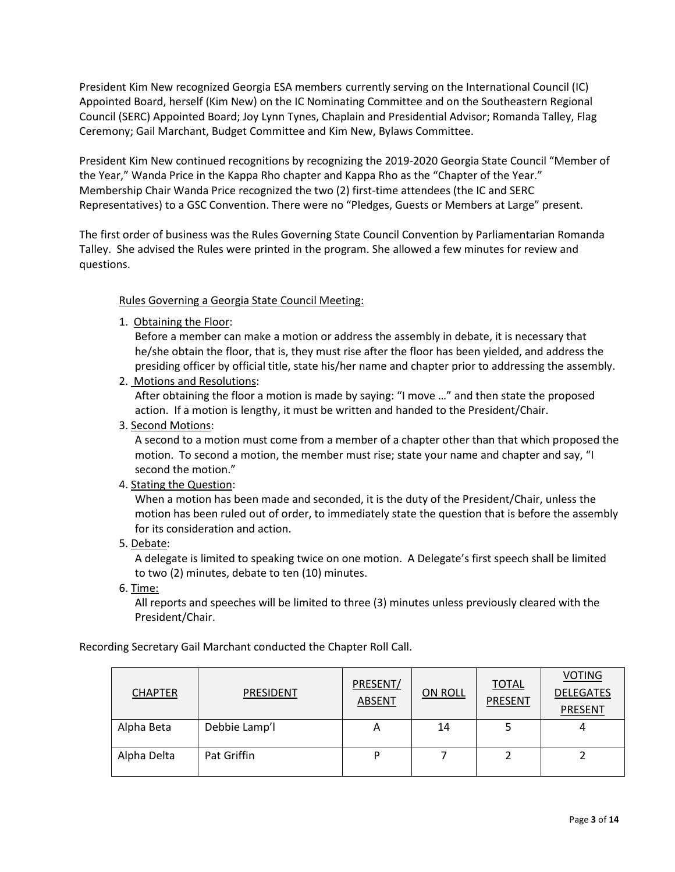President Kim New recognized Georgia ESA members currently serving on the International Council (IC) Appointed Board, herself (Kim New) on the IC Nominating Committee and on the Southeastern Regional Council (SERC) Appointed Board; Joy Lynn Tynes, Chaplain and Presidential Advisor; Romanda Talley, Flag Ceremony; Gail Marchant, Budget Committee and Kim New, Bylaws Committee.

President Kim New continued recognitions by recognizing the 2019-2020 Georgia State Council "Member of the Year," Wanda Price in the Kappa Rho chapter and Kappa Rho as the "Chapter of the Year." Membership Chair Wanda Price recognized the two (2) first-time attendees (the IC and SERC Representatives) to a GSC Convention. There were no "Pledges, Guests or Members at Large" present.

The first order of business was the Rules Governing State Council Convention by Parliamentarian Romanda Talley. She advised the Rules were printed in the program. She allowed a few minutes for review and questions.

## Rules Governing a Georgia State Council Meeting:

1. Obtaining the Floor:

Before a member can make a motion or address the assembly in debate, it is necessary that he/she obtain the floor, that is, they must rise after the floor has been yielded, and address the presiding officer by official title, state his/her name and chapter prior to addressing the assembly.

2. Motions and Resolutions:

After obtaining the floor a motion is made by saying: "I move …" and then state the proposed action. If a motion is lengthy, it must be written and handed to the President/Chair.

3. Second Motions:

A second to a motion must come from a member of a chapter other than that which proposed the motion. To second a motion, the member must rise; state your name and chapter and say, "I second the motion."

#### 4. Stating the Question:

When a motion has been made and seconded, it is the duty of the President/Chair, unless the motion has been ruled out of order, to immediately state the question that is before the assembly for its consideration and action.

5. Debate:

A delegate is limited to speaking twice on one motion. A Delegate's first speech shall be limited to two (2) minutes, debate to ten (10) minutes.

6. Time:

All reports and speeches will be limited to three (3) minutes unless previously cleared with the President/Chair.

Recording Secretary Gail Marchant conducted the Chapter Roll Call.

| <b>CHAPTER</b> | <b>PRESIDENT</b> | PRESENT/<br>ABSENT | <b>ON ROLL</b> | <b>TOTAL</b><br><b>PRESENT</b> | <b>VOTING</b><br><b>DELEGATES</b><br><b>PRESENT</b> |
|----------------|------------------|--------------------|----------------|--------------------------------|-----------------------------------------------------|
| Alpha Beta     | Debbie Lamp'l    |                    | 14             |                                |                                                     |
| Alpha Delta    | Pat Griffin      |                    |                |                                |                                                     |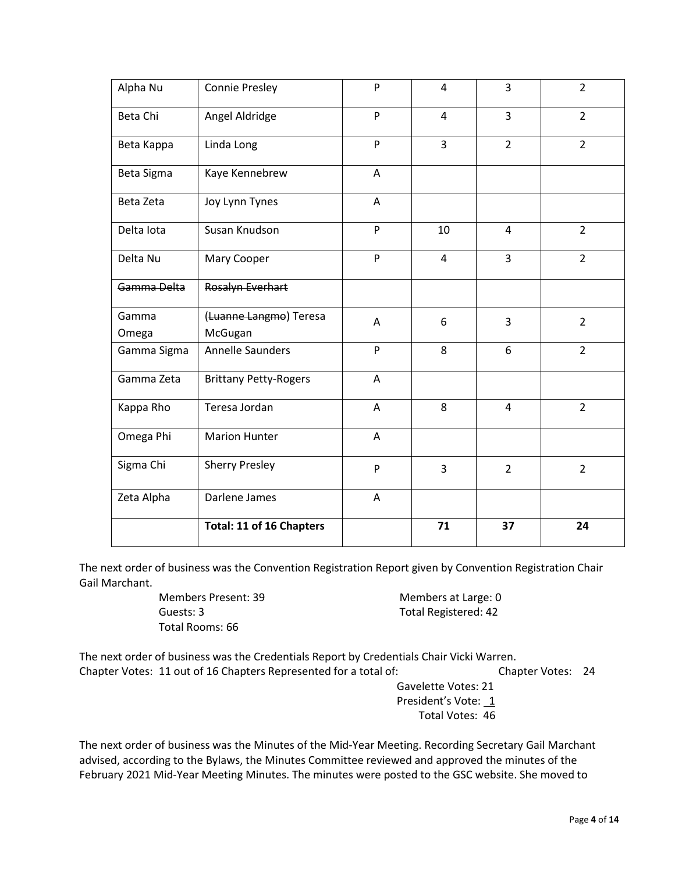| Alpha Nu       | <b>Connie Presley</b>             | P | $\overline{4}$ | 3              | $\overline{2}$ |
|----------------|-----------------------------------|---|----------------|----------------|----------------|
| Beta Chi       | Angel Aldridge                    | P | $\overline{4}$ | $\overline{3}$ | $\overline{2}$ |
| Beta Kappa     | Linda Long                        | P | 3              | $\overline{2}$ | $\overline{2}$ |
| Beta Sigma     | Kaye Kennebrew                    | A |                |                |                |
| Beta Zeta      | Joy Lynn Tynes                    | Α |                |                |                |
| Delta Iota     | Susan Knudson                     | P | 10             | 4              | $\overline{2}$ |
| Delta Nu       | Mary Cooper                       | P | $\overline{4}$ | 3              | $\overline{2}$ |
| Gamma Delta    | Rosalyn Everhart                  |   |                |                |                |
| Gamma<br>Omega | (Luanne Langmo) Teresa<br>McGugan | A | 6              | 3              | $\overline{2}$ |
| Gamma Sigma    | <b>Annelle Saunders</b>           | P | 8              | 6              | $\overline{2}$ |
| Gamma Zeta     | <b>Brittany Petty-Rogers</b>      | A |                |                |                |
| Kappa Rho      | Teresa Jordan                     | Α | 8              | 4              | $\overline{2}$ |
| Omega Phi      | <b>Marion Hunter</b>              | A |                |                |                |
| Sigma Chi      | <b>Sherry Presley</b>             | P | 3              | $\overline{2}$ | $\overline{2}$ |
| Zeta Alpha     | Darlene James                     | A |                |                |                |
|                | Total: 11 of 16 Chapters          |   | 71             | 37             | 24             |

The next order of business was the Convention Registration Report given by Convention Registration Chair Gail Marchant.

> Members Present: 39 Members at Large: 0 Guests: 3 Total Registered: 42 Total Rooms: 66

The next order of business was the Credentials Report by Credentials Chair Vicki Warren. Chapter Votes: 11 out of 16 Chapters Represented for a total of: Chapter Votes: 24

Gavelette Votes: 21 President's Vote: 1 Total Votes: 46

The next order of business was the Minutes of the Mid-Year Meeting. Recording Secretary Gail Marchant advised, according to the Bylaws, the Minutes Committee reviewed and approved the minutes of the February 2021 Mid-Year Meeting Minutes. The minutes were posted to the GSC website. She moved to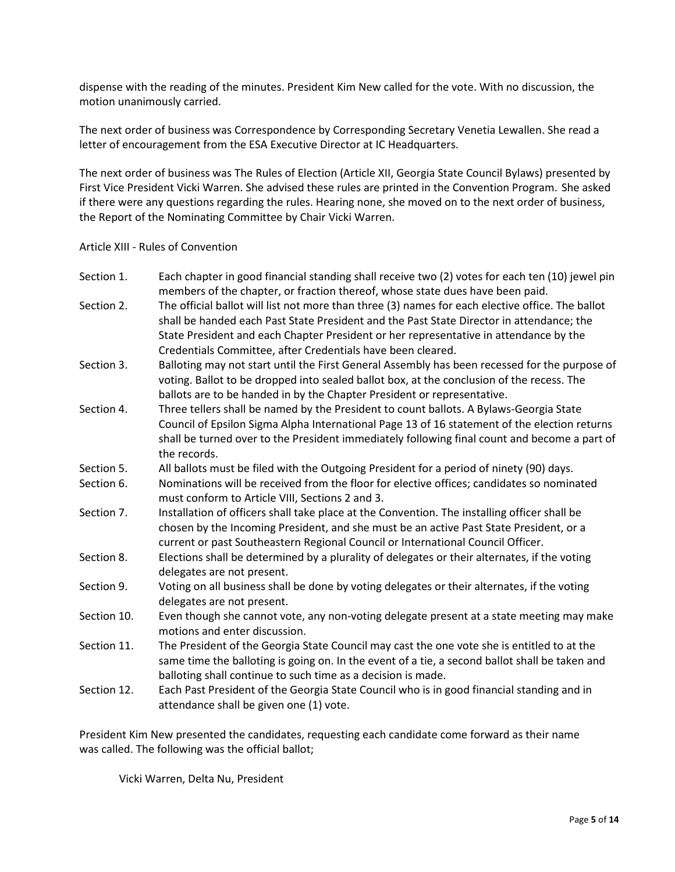dispense with the reading of the minutes. President Kim New called for the vote. With no discussion, the motion unanimously carried.

The next order of business was Correspondence by Corresponding Secretary Venetia Lewallen. She read a letter of encouragement from the ESA Executive Director at IC Headquarters.

The next order of business was The Rules of Election (Article XII, Georgia State Council Bylaws) presented by First Vice President Vicki Warren. She advised these rules are printed in the Convention Program. She asked if there were any questions regarding the rules. Hearing none, she moved on to the next order of business, the Report of the Nominating Committee by Chair Vicki Warren.

#### Article XIII - Rules of Convention

| Section 1.  | Each chapter in good financial standing shall receive two (2) votes for each ten (10) jewel pin<br>members of the chapter, or fraction thereof, whose state dues have been paid.                                                                                                                                                                     |
|-------------|------------------------------------------------------------------------------------------------------------------------------------------------------------------------------------------------------------------------------------------------------------------------------------------------------------------------------------------------------|
| Section 2.  | The official ballot will list not more than three (3) names for each elective office. The ballot<br>shall be handed each Past State President and the Past State Director in attendance; the<br>State President and each Chapter President or her representative in attendance by the<br>Credentials Committee, after Credentials have been cleared. |
| Section 3.  | Balloting may not start until the First General Assembly has been recessed for the purpose of<br>voting. Ballot to be dropped into sealed ballot box, at the conclusion of the recess. The<br>ballots are to be handed in by the Chapter President or representative.                                                                                |
| Section 4.  | Three tellers shall be named by the President to count ballots. A Bylaws-Georgia State<br>Council of Epsilon Sigma Alpha International Page 13 of 16 statement of the election returns<br>shall be turned over to the President immediately following final count and become a part of<br>the records.                                               |
| Section 5.  | All ballots must be filed with the Outgoing President for a period of ninety (90) days.                                                                                                                                                                                                                                                              |
| Section 6.  | Nominations will be received from the floor for elective offices; candidates so nominated<br>must conform to Article VIII, Sections 2 and 3.                                                                                                                                                                                                         |
| Section 7.  | Installation of officers shall take place at the Convention. The installing officer shall be<br>chosen by the Incoming President, and she must be an active Past State President, or a<br>current or past Southeastern Regional Council or International Council Officer.                                                                            |
| Section 8.  | Elections shall be determined by a plurality of delegates or their alternates, if the voting<br>delegates are not present.                                                                                                                                                                                                                           |
| Section 9.  | Voting on all business shall be done by voting delegates or their alternates, if the voting<br>delegates are not present.                                                                                                                                                                                                                            |
| Section 10. | Even though she cannot vote, any non-voting delegate present at a state meeting may make<br>motions and enter discussion.                                                                                                                                                                                                                            |
| Section 11. | The President of the Georgia State Council may cast the one vote she is entitled to at the<br>same time the balloting is going on. In the event of a tie, a second ballot shall be taken and<br>balloting shall continue to such time as a decision is made.                                                                                         |
| Section 12. | Each Past President of the Georgia State Council who is in good financial standing and in<br>attendance shall be given one (1) vote.                                                                                                                                                                                                                 |

President Kim New presented the candidates, requesting each candidate come forward as their name was called. The following was the official ballot;

Vicki Warren, Delta Nu, President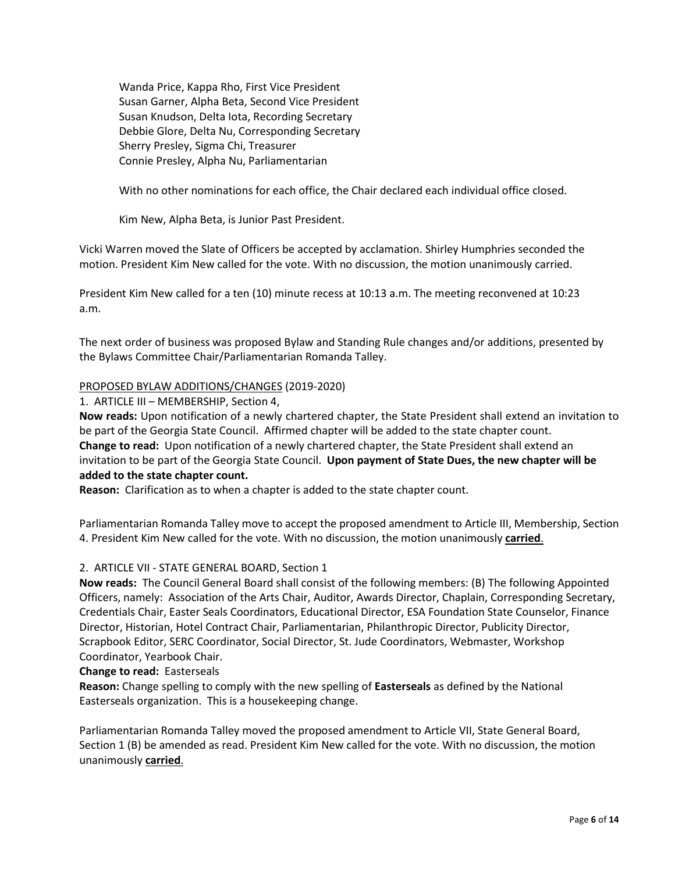Wanda Price, Kappa Rho, First Vice President Susan Garner, Alpha Beta, Second Vice President Susan Knudson, Delta Iota, Recording Secretary Debbie Glore, Delta Nu, Corresponding Secretary Sherry Presley, Sigma Chi, Treasurer Connie Presley, Alpha Nu, Parliamentarian

With no other nominations for each office, the Chair declared each individual office closed.

Kim New, Alpha Beta, is Junior Past President.

Vicki Warren moved the Slate of Officers be accepted by acclamation. Shirley Humphries seconded the motion. President Kim New called for the vote. With no discussion, the motion unanimously carried.

President Kim New called for a ten (10) minute recess at 10:13 a.m. The meeting reconvened at 10:23 a.m.

The next order of business was proposed Bylaw and Standing Rule changes and/or additions, presented by the Bylaws Committee Chair/Parliamentarian Romanda Talley.

#### PROPOSED BYLAW ADDITIONS/CHANGES (2019-2020)

1. ARTICLE III – MEMBERSHIP, Section 4,

**Now reads:** Upon notification of a newly chartered chapter, the State President shall extend an invitation to be part of the Georgia State Council. Affirmed chapter will be added to the state chapter count. **Change to read:** Upon notification of a newly chartered chapter, the State President shall extend an invitation to be part of the Georgia State Council. **Upon payment of State Dues, the new chapter will be added to the state chapter count.** 

**Reason:** Clarification as to when a chapter is added to the state chapter count.

Parliamentarian Romanda Talley move to accept the proposed amendment to Article III, Membership, Section 4. President Kim New called for the vote. With no discussion, the motion unanimously **carried**.

#### 2.ARTICLE VII - STATE GENERAL BOARD, Section 1

**Now reads:** The Council General Board shall consist of the following members: (B) The following Appointed Officers, namely: Association of the Arts Chair, Auditor, Awards Director, Chaplain, Corresponding Secretary, Credentials Chair, Easter Seals Coordinators, Educational Director, ESA Foundation State Counselor, Finance Director, Historian, Hotel Contract Chair, Parliamentarian, Philanthropic Director, Publicity Director, Scrapbook Editor, SERC Coordinator, Social Director, St. Jude Coordinators, Webmaster, Workshop Coordinator, Yearbook Chair.

#### **Change to read:** Easterseals

**Reason:** Change spelling to comply with the new spelling of **Easterseals** as defined by the National Easterseals organization. This is a housekeeping change.

Parliamentarian Romanda Talley moved the proposed amendment to Article VII, State General Board, Section 1 (B) be amended as read. President Kim New called for the vote. With no discussion, the motion unanimously **carried**.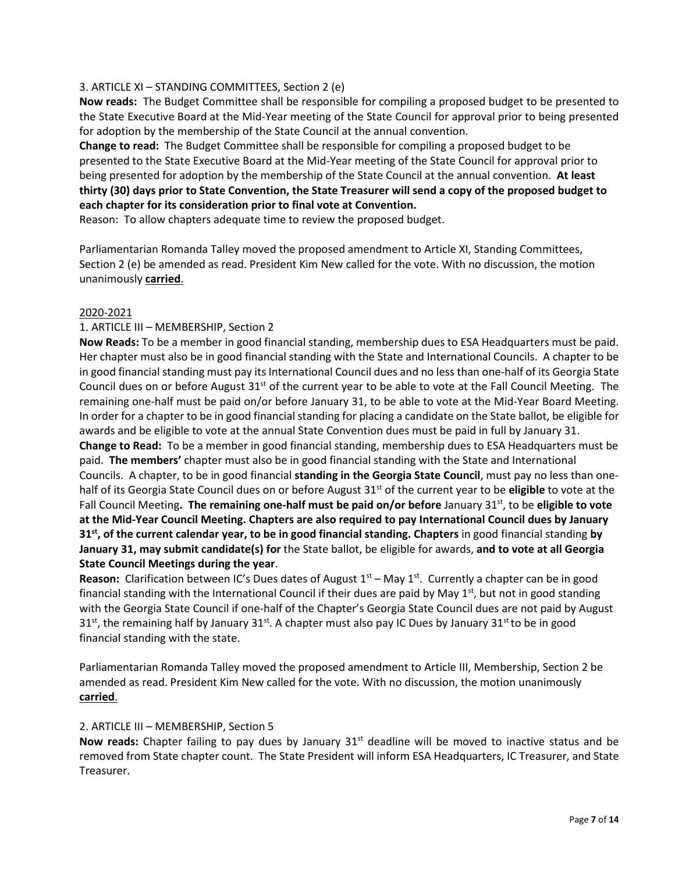# 3. ARTICLE XI – STANDING COMMITTEES, Section 2 (e)

**Now reads:** The Budget Committee shall be responsible for compiling a proposed budget to be presented to the State Executive Board at the Mid-Year meeting of the State Council for approval prior to being presented for adoption by the membership of the State Council at the annual convention.

**Change to read:** The Budget Committee shall be responsible for compiling a proposed budget to be presented to the State Executive Board at the Mid-Year meeting of the State Council for approval prior to being presented for adoption by the membership of the State Council at the annual convention. **At least thirty (30) days prior to State Convention, the State Treasurer will send a copy of the proposed budget to each chapter for its consideration prior to final vote at Convention.**

Reason: To allow chapters adequate time to review the proposed budget.

Parliamentarian Romanda Talley moved the proposed amendment to Article XI, Standing Committees, Section 2 (e) be amended as read. President Kim New called for the vote. With no discussion, the motion unanimously **carried**.

#### 2020-2021

## 1. ARTICLE III – MEMBERSHIP, Section 2

**Now Reads:** To be a member in good financial standing, membership dues to ESA Headquarters must be paid. Her chapter must also be in good financial standing with the State and International Councils. A chapter to be in good financial standing must pay its International Council dues and no less than one-half of its Georgia State Council dues on or before August  $31^{st}$  of the current year to be able to vote at the Fall Council Meeting. The remaining one-half must be paid on/or before January 31, to be able to vote at the Mid-Year Board Meeting. In order for a chapter to be in good financial standing for placing a candidate on the State ballot, be eligible for awards and be eligible to vote at the annual State Convention dues must be paid in full by January 31. **Change to Read:** To be a member in good financial standing, membership dues to ESA Headquarters must be paid. **The members'** chapter must also be in good financial standing with the State and International Councils. A chapter, to be in good financial **standing in the Georgia State Council**, must pay no less than onehalf of its Georgia State Council dues on or before August 31<sup>st</sup> of the current year to be **eligible** to vote at the Fall Council Meeting**. The remaining one-half must be paid on/or before** January 31st, to be **eligible to vote at the Mid-Year Council Meeting. Chapters are also required to pay International Council dues by January 31st, of the current calendar year, to be in good financial standing. Chapters** in good financial standing **by January 31, may submit candidate(s) for** the State ballot, be eligible for awards, **and to vote at all Georgia State Council Meetings during the year**.

**Reason:** Clarification between IC's Dues dates of August  $1<sup>st</sup>$  – May  $1<sup>st</sup>$ . Currently a chapter can be in good financial standing with the International Council if their dues are paid by May  $1<sup>st</sup>$ , but not in good standing with the Georgia State Council if one-half of the Chapter's Georgia State Council dues are not paid by August  $31<sup>st</sup>$ , the remaining half by January  $31<sup>st</sup>$ . A chapter must also pay IC Dues by January  $31<sup>st</sup>$  to be in good financial standing with the state.

Parliamentarian Romanda Talley moved the proposed amendment to Article III, Membership, Section 2 be amended as read. President Kim New called for the vote. With no discussion, the motion unanimously **carried**.

#### 2. ARTICLE III – MEMBERSHIP, Section 5

**Now reads:** Chapter failing to pay dues by January 31<sup>st</sup> deadline will be moved to inactive status and be removed from State chapter count. The State President will inform ESA Headquarters, IC Treasurer, and State Treasurer.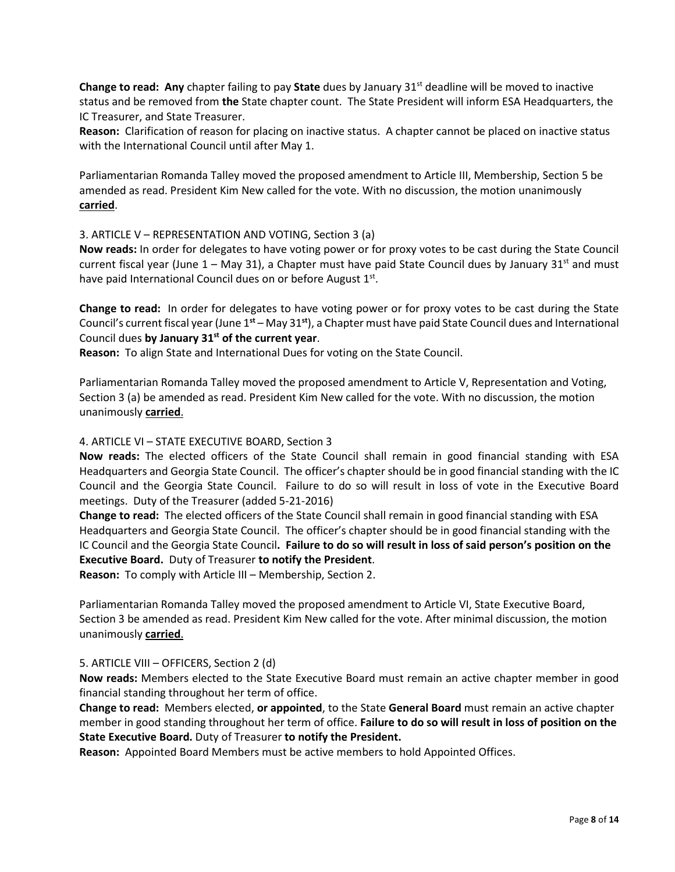**Change to read: Any** chapter failing to pay **State** dues by January 31st deadline will be moved to inactive status and be removed from **the** State chapter count. The State President will inform ESA Headquarters, the IC Treasurer, and State Treasurer.

**Reason:** Clarification of reason for placing on inactive status. A chapter cannot be placed on inactive status with the International Council until after May 1.

Parliamentarian Romanda Talley moved the proposed amendment to Article III, Membership, Section 5 be amended as read. President Kim New called for the vote. With no discussion, the motion unanimously **carried**.

## 3. ARTICLE V – REPRESENTATION AND VOTING, Section 3 (a)

**Now reads:** In order for delegates to have voting power or for proxy votes to be cast during the State Council current fiscal year (June  $1 -$  May 31), a Chapter must have paid State Council dues by January 31<sup>st</sup> and must have paid International Council dues on or before August 1<sup>st</sup>.

**Change to read:** In order for delegates to have voting power or for proxy votes to be cast during the State Council's current fiscal year (June 1**st** – May 31**st**), a Chapter must have paid State Council dues and International Council dues **by January 31st of the current year**.

**Reason:** To align State and International Dues for voting on the State Council.

Parliamentarian Romanda Talley moved the proposed amendment to Article V, Representation and Voting, Section 3 (a) be amended as read. President Kim New called for the vote. With no discussion, the motion unanimously **carried**.

#### 4. ARTICLE VI – STATE EXECUTIVE BOARD, Section 3

**Now reads:** The elected officers of the State Council shall remain in good financial standing with ESA Headquarters and Georgia State Council. The officer's chapter should be in good financial standing with the IC Council and the Georgia State Council. Failure to do so will result in loss of vote in the Executive Board meetings. Duty of the Treasurer (added 5-21-2016)

**Change to read:** The elected officers of the State Council shall remain in good financial standing with ESA Headquarters and Georgia State Council. The officer's chapter should be in good financial standing with the IC Council and the Georgia State Council**. Failure to do so will result in loss of said person's position on the Executive Board.** Duty of Treasurer **to notify the President**.

**Reason:** To comply with Article III – Membership, Section 2.

Parliamentarian Romanda Talley moved the proposed amendment to Article VI, State Executive Board, Section 3 be amended as read. President Kim New called for the vote. After minimal discussion, the motion unanimously **carried**.

## 5. ARTICLE VIII – OFFICERS, Section 2 (d)

**Now reads:** Members elected to the State Executive Board must remain an active chapter member in good financial standing throughout her term of office.

**Change to read:** Members elected, **or appointed**, to the State **General Board** must remain an active chapter member in good standing throughout her term of office. **Failure to do so will result in loss of position on the State Executive Board.** Duty of Treasurer **to notify the President.**

**Reason:** Appointed Board Members must be active members to hold Appointed Offices.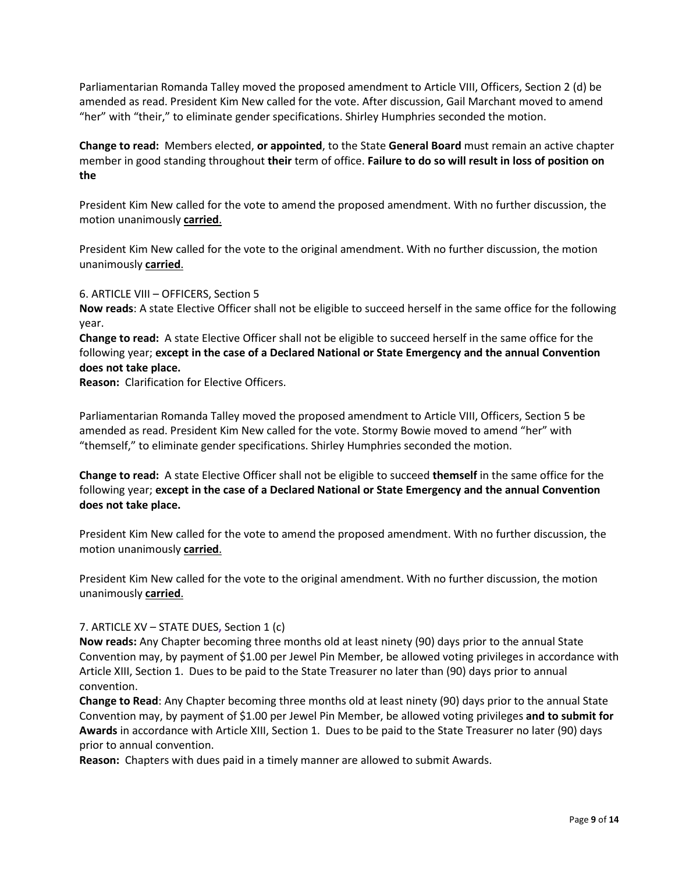Parliamentarian Romanda Talley moved the proposed amendment to Article VIII, Officers, Section 2 (d) be amended as read. President Kim New called for the vote. After discussion, Gail Marchant moved to amend "her" with "their," to eliminate gender specifications. Shirley Humphries seconded the motion.

**Change to read:** Members elected, **or appointed**, to the State **General Board** must remain an active chapter member in good standing throughout **their** term of office. **Failure to do so will result in loss of position on the**

President Kim New called for the vote to amend the proposed amendment. With no further discussion, the motion unanimously **carried**.

President Kim New called for the vote to the original amendment. With no further discussion, the motion unanimously **carried**.

6. ARTICLE VIII – OFFICERS, Section 5

**Now reads**: A state Elective Officer shall not be eligible to succeed herself in the same office for the following year.

**Change to read:** A state Elective Officer shall not be eligible to succeed herself in the same office for the following year; **except in the case of a Declared National or State Emergency and the annual Convention does not take place.**

**Reason:** Clarification for Elective Officers.

Parliamentarian Romanda Talley moved the proposed amendment to Article VIII, Officers, Section 5 be amended as read. President Kim New called for the vote. Stormy Bowie moved to amend "her" with "themself," to eliminate gender specifications. Shirley Humphries seconded the motion.

**Change to read:** A state Elective Officer shall not be eligible to succeed **themself** in the same office for the following year; **except in the case of a Declared National or State Emergency and the annual Convention does not take place.**

President Kim New called for the vote to amend the proposed amendment. With no further discussion, the motion unanimously **carried**.

President Kim New called for the vote to the original amendment. With no further discussion, the motion unanimously **carried**.

## 7. ARTICLE XV – STATE DUES**,** Section 1 (c)

**Now reads:** Any Chapter becoming three months old at least ninety (90) days prior to the annual State Convention may, by payment of \$1.00 per Jewel Pin Member, be allowed voting privileges in accordance with Article XIII, Section 1. Dues to be paid to the State Treasurer no later than (90) days prior to annual convention.

**Change to Read**: Any Chapter becoming three months old at least ninety (90) days prior to the annual State Convention may, by payment of \$1.00 per Jewel Pin Member, be allowed voting privileges **and to submit for Awards** in accordance with Article XIII, Section 1. Dues to be paid to the State Treasurer no later (90) days prior to annual convention.

**Reason:** Chapters with dues paid in a timely manner are allowed to submit Awards.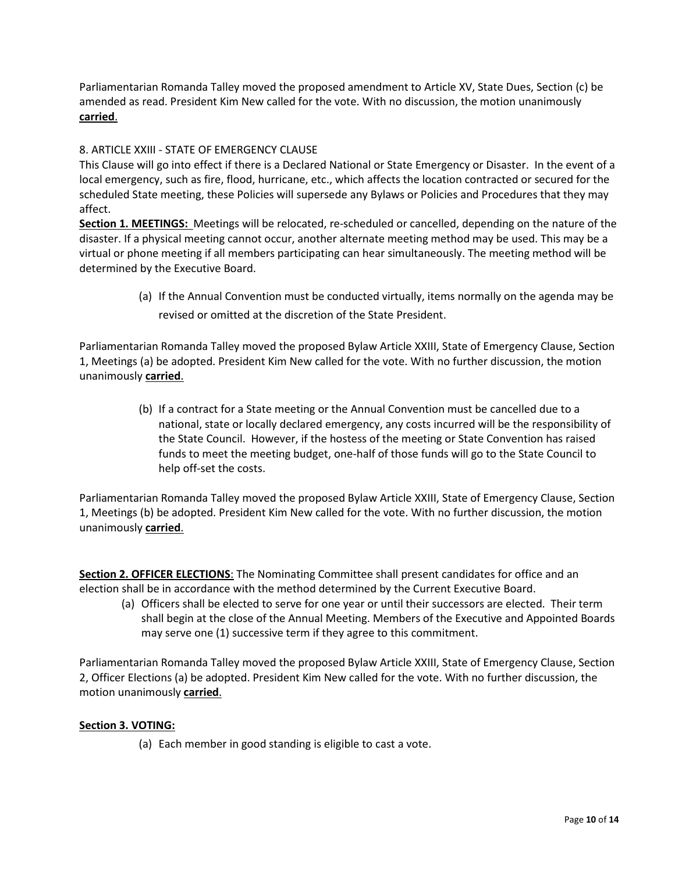Parliamentarian Romanda Talley moved the proposed amendment to Article XV, State Dues, Section (c) be amended as read. President Kim New called for the vote. With no discussion, the motion unanimously **carried**.

# 8. ARTICLE XXIII - STATE OF EMERGENCY CLAUSE

This Clause will go into effect if there is a Declared National or State Emergency or Disaster. In the event of a local emergency, such as fire, flood, hurricane, etc., which affects the location contracted or secured for the scheduled State meeting, these Policies will supersede any Bylaws or Policies and Procedures that they may affect.

**Section 1. MEETINGS:** Meetings will be relocated, re-scheduled or cancelled, depending on the nature of the disaster. If a physical meeting cannot occur, another alternate meeting method may be used. This may be a virtual or phone meeting if all members participating can hear simultaneously. The meeting method will be determined by the Executive Board.

> (a) If the Annual Convention must be conducted virtually, items normally on the agenda may be revised or omitted at the discretion of the State President.

Parliamentarian Romanda Talley moved the proposed Bylaw Article XXIII, State of Emergency Clause, Section 1, Meetings (a) be adopted. President Kim New called for the vote. With no further discussion, the motion unanimously **carried**.

> (b) If a contract for a State meeting or the Annual Convention must be cancelled due to a national, state or locally declared emergency, any costs incurred will be the responsibility of the State Council. However, if the hostess of the meeting or State Convention has raised funds to meet the meeting budget, one-half of those funds will go to the State Council to help off-set the costs.

Parliamentarian Romanda Talley moved the proposed Bylaw Article XXIII, State of Emergency Clause, Section 1, Meetings (b) be adopted. President Kim New called for the vote. With no further discussion, the motion unanimously **carried**.

**Section 2. OFFICER ELECTIONS:** The Nominating Committee shall present candidates for office and an election shall be in accordance with the method determined by the Current Executive Board.

(a) Officers shall be elected to serve for one year or until their successors are elected. Their term shall begin at the close of the Annual Meeting. Members of the Executive and Appointed Boards may serve one (1) successive term if they agree to this commitment.

Parliamentarian Romanda Talley moved the proposed Bylaw Article XXIII, State of Emergency Clause, Section 2, Officer Elections (a) be adopted. President Kim New called for the vote. With no further discussion, the motion unanimously **carried**.

## **Section 3. VOTING:**

(a) Each member in good standing is eligible to cast a vote.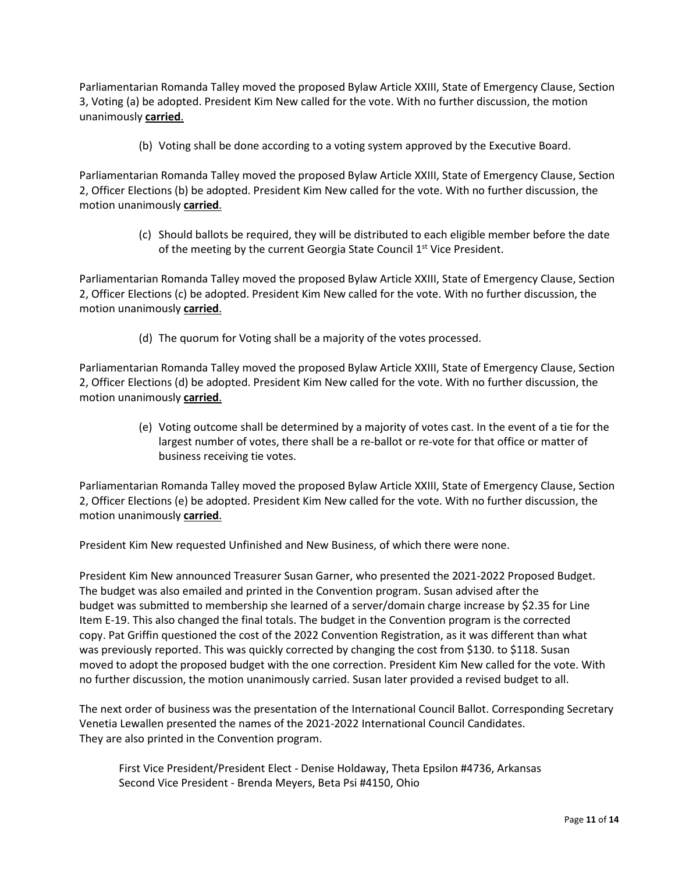Parliamentarian Romanda Talley moved the proposed Bylaw Article XXIII, State of Emergency Clause, Section 3, Voting (a) be adopted. President Kim New called for the vote. With no further discussion, the motion unanimously **carried**.

(b) Voting shall be done according to a voting system approved by the Executive Board.

Parliamentarian Romanda Talley moved the proposed Bylaw Article XXIII, State of Emergency Clause, Section 2, Officer Elections (b) be adopted. President Kim New called for the vote. With no further discussion, the motion unanimously **carried**.

> (c) Should ballots be required, they will be distributed to each eligible member before the date of the meeting by the current Georgia State Council  $1<sup>st</sup>$  Vice President.

Parliamentarian Romanda Talley moved the proposed Bylaw Article XXIII, State of Emergency Clause, Section 2, Officer Elections (c) be adopted. President Kim New called for the vote. With no further discussion, the motion unanimously **carried**.

(d) The quorum for Voting shall be a majority of the votes processed.

Parliamentarian Romanda Talley moved the proposed Bylaw Article XXIII, State of Emergency Clause, Section 2, Officer Elections (d) be adopted. President Kim New called for the vote. With no further discussion, the motion unanimously **carried**.

> (e) Voting outcome shall be determined by a majority of votes cast. In the event of a tie for the largest number of votes, there shall be a re-ballot or re-vote for that office or matter of business receiving tie votes.

Parliamentarian Romanda Talley moved the proposed Bylaw Article XXIII, State of Emergency Clause, Section 2, Officer Elections (e) be adopted. President Kim New called for the vote. With no further discussion, the motion unanimously **carried**.

President Kim New requested Unfinished and New Business, of which there were none.

President Kim New announced Treasurer Susan Garner, who presented the 2021-2022 Proposed Budget. The budget was also emailed and printed in the Convention program. Susan advised after the budget was submitted to membership she learned of a server/domain charge increase by \$2.35 for Line Item E-19. This also changed the final totals. The budget in the Convention program is the corrected copy. Pat Griffin questioned the cost of the 2022 Convention Registration, as it was different than what was previously reported. This was quickly corrected by changing the cost from \$130. to \$118. Susan moved to adopt the proposed budget with the one correction. President Kim New called for the vote. With no further discussion, the motion unanimously carried. Susan later provided a revised budget to all.

The next order of business was the presentation of the International Council Ballot. Corresponding Secretary Venetia Lewallen presented the names of the 2021-2022 International Council Candidates. They are also printed in the Convention program.

First Vice President/President Elect - Denise Holdaway, Theta Epsilon #4736, Arkansas Second Vice President - Brenda Meyers, Beta Psi #4150, Ohio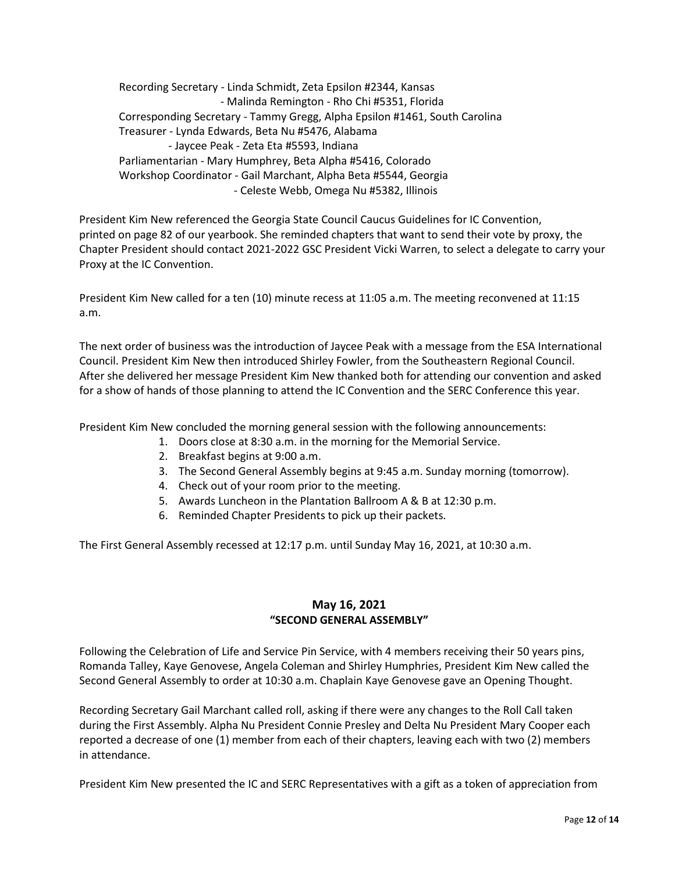Recording Secretary - Linda Schmidt, Zeta Epsilon #2344, Kansas - Malinda Remington - Rho Chi #5351, Florida Corresponding Secretary - Tammy Gregg, Alpha Epsilon #1461, South Carolina Treasurer - Lynda Edwards, Beta Nu #5476, Alabama - Jaycee Peak - Zeta Eta #5593, Indiana Parliamentarian - Mary Humphrey, Beta Alpha #5416, Colorado Workshop Coordinator - Gail Marchant, Alpha Beta #5544, Georgia - Celeste Webb, Omega Nu #5382, Illinois

President Kim New referenced the Georgia State Council Caucus Guidelines for IC Convention, printed on page 82 of our yearbook. She reminded chapters that want to send their vote by proxy, the Chapter President should contact 2021-2022 GSC President Vicki Warren, to select a delegate to carry your Proxy at the IC Convention.

President Kim New called for a ten (10) minute recess at 11:05 a.m. The meeting reconvened at 11:15 a.m.

The next order of business was the introduction of Jaycee Peak with a message from the ESA International Council. President Kim New then introduced Shirley Fowler, from the Southeastern Regional Council. After she delivered her message President Kim New thanked both for attending our convention and asked for a show of hands of those planning to attend the IC Convention and the SERC Conference this year.

President Kim New concluded the morning general session with the following announcements:

- 1. Doors close at 8:30 a.m. in the morning for the Memorial Service.
- 2. Breakfast begins at 9:00 a.m.
- 3. The Second General Assembly begins at 9:45 a.m. Sunday morning (tomorrow).
- 4. Check out of your room prior to the meeting.
- 5. Awards Luncheon in the Plantation Ballroom A & B at 12:30 p.m.
- 6. Reminded Chapter Presidents to pick up their packets.

The First General Assembly recessed at 12:17 p.m. until Sunday May 16, 2021, at 10:30 a.m.

# **May 16, 2021 "SECOND GENERAL ASSEMBLY"**

Following the Celebration of Life and Service Pin Service, with 4 members receiving their 50 years pins, Romanda Talley, Kaye Genovese, Angela Coleman and Shirley Humphries, President Kim New called the Second General Assembly to order at 10:30 a.m. Chaplain Kaye Genovese gave an Opening Thought.

Recording Secretary Gail Marchant called roll, asking if there were any changes to the Roll Call taken during the First Assembly. Alpha Nu President Connie Presley and Delta Nu President Mary Cooper each reported a decrease of one (1) member from each of their chapters, leaving each with two (2) members in attendance.

President Kim New presented the IC and SERC Representatives with a gift as a token of appreciation from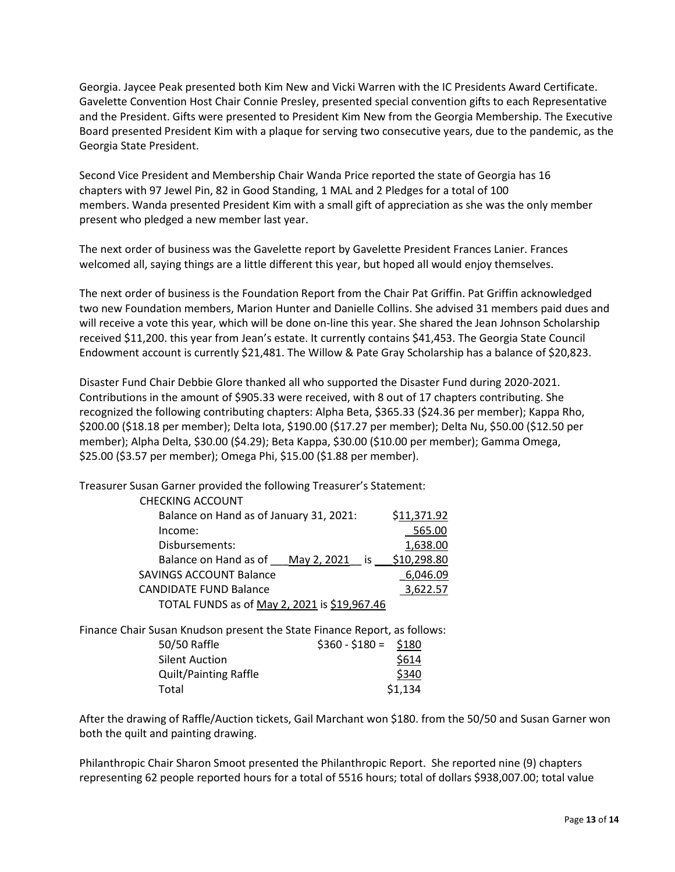Georgia. Jaycee Peak presented both Kim New and Vicki Warren with the IC Presidents Award Certificate. Gavelette Convention Host Chair Connie Presley, presented special convention gifts to each Representative and the President. Gifts were presented to President Kim New from the Georgia Membership. The Executive Board presented President Kim with a plaque for serving two consecutive years, due to the pandemic, as the Georgia State President.

Second Vice President and Membership Chair Wanda Price reported the state of Georgia has 16 chapters with 97 Jewel Pin, 82 in Good Standing, 1 MAL and 2 Pledges for a total of 100 members. Wanda presented President Kim with a small gift of appreciation as she was the only member present who pledged a new member last year.

The next order of business was the Gavelette report by Gavelette President Frances Lanier. Frances welcomed all, saying things are a little different this year, but hoped all would enjoy themselves.

The next order of business is the Foundation Report from the Chair Pat Griffin. Pat Griffin acknowledged two new Foundation members, Marion Hunter and Danielle Collins. She advised 31 members paid dues and will receive a vote this year, which will be done on-line this year. She shared the Jean Johnson Scholarship received \$11,200. this year from Jean's estate. It currently contains \$41,453. The Georgia State Council Endowment account is currently \$21,481. The Willow & Pate Gray Scholarship has a balance of \$20,823.

Disaster Fund Chair Debbie Glore thanked all who supported the Disaster Fund during 2020-2021. Contributions in the amount of \$905.33 were received, with 8 out of 17 chapters contributing. She recognized the following contributing chapters: Alpha Beta, \$365.33 (\$24.36 per member); Kappa Rho, \$200.00 (\$18.18 per member); Delta Iota, \$190.00 (\$17.27 per member); Delta Nu, \$50.00 (\$12.50 per member); Alpha Delta, \$30.00 (\$4.29); Beta Kappa, \$30.00 (\$10.00 per member); Gamma Omega, \$25.00 (\$3.57 per member); Omega Phi, \$15.00 (\$1.88 per member).

Treasurer Susan Garner provided the following Treasurer's Statement:

| <b>CHECKING ACCOUNT</b>                      |             |
|----------------------------------------------|-------------|
| Balance on Hand as of January 31, 2021:      | \$11,371.92 |
| Income:                                      | 565.00      |
| Disbursements:                               | 1,638.00    |
| Balance on Hand as of<br>May 2, 2021 is      | \$10,298.80 |
| <b>SAVINGS ACCOUNT Balance</b>               | 6.046.09    |
| <b>CANDIDATE FUND Balance</b>                | 3.622.57    |
| TOTAL FUNDS as of May 2, 2021 is \$19,967.46 |             |
|                                              |             |

Finance Chair Susan Knudson present the State Finance Report, as follows:

| 50/50 Raffle                 | $$360 - $180 = $180$ |         |
|------------------------------|----------------------|---------|
| <b>Silent Auction</b>        |                      | \$614   |
| <b>Quilt/Painting Raffle</b> |                      | \$340   |
| Total                        |                      | \$1,134 |

After the drawing of Raffle/Auction tickets, Gail Marchant won \$180. from the 50/50 and Susan Garner won both the quilt and painting drawing.

Philanthropic Chair Sharon Smoot presented the Philanthropic Report. She reported nine (9) chapters representing 62 people reported hours for a total of 5516 hours; total of dollars \$938,007.00; total value